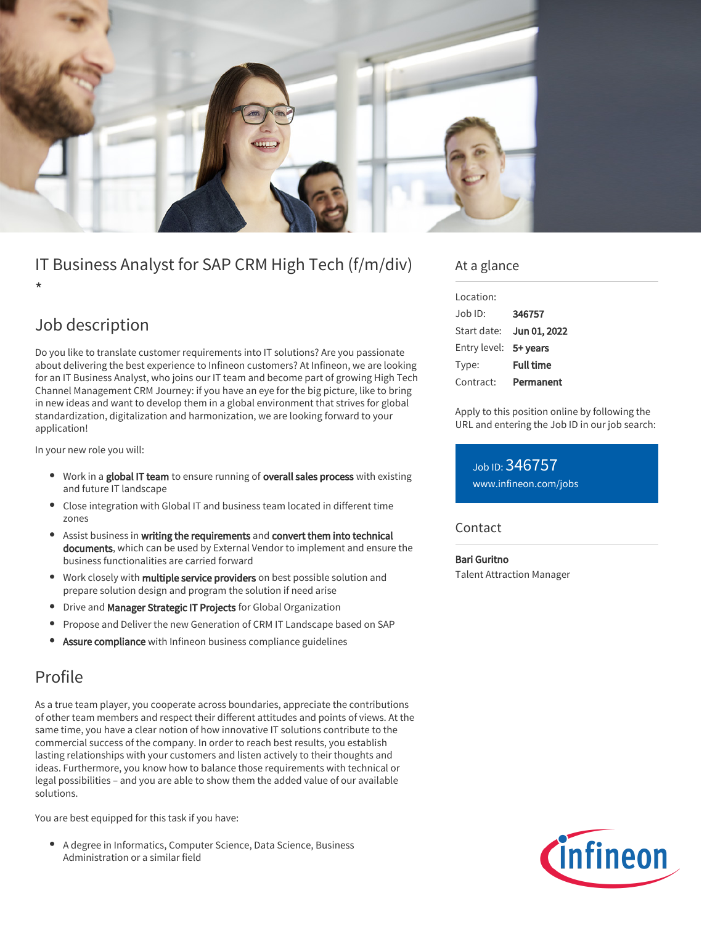

# IT Business Analyst for SAP CRM High Tech (f/m/div)

\*

# Job description

Do you like to translate customer requirements into IT solutions? Are you passionate about delivering the best experience to Infineon customers? At Infineon, we are looking for an IT Business Analyst, who joins our IT team and become part of growing High Tech Channel Management CRM Journey: if you have an eye for the big picture, like to bring in new ideas and want to develop them in a global environment that strives for global standardization, digitalization and harmonization, we are looking forward to your application!

In your new role you will:

- Work in a global IT team to ensure running of overall sales process with existing and future IT landscape
- Close integration with Global IT and business team located in different time zones
- Assist business in writing the requirements and convert them into technical documents, which can be used by External Vendor to implement and ensure the business functionalities are carried forward
- Work closely with multiple service providers on best possible solution and prepare solution design and program the solution if need arise
- Drive and Manager Strategic IT Projects for Global Organization
- Propose and Deliver the new Generation of CRM IT Landscape based on SAP
- Assure compliance with Infineon business compliance guidelines

## Profile

As a true team player, you cooperate across boundaries, appreciate the contributions of other team members and respect their different attitudes and points of views. At the same time, you have a clear notion of how innovative IT solutions contribute to the commercial success of the company. In order to reach best results, you establish lasting relationships with your customers and listen actively to their thoughts and ideas. Furthermore, you know how to balance those requirements with technical or legal possibilities – and you are able to show them the added value of our available solutions.

You are best equipped for this task if you have:

A degree in Informatics, Computer Science, Data Science, Business Administration or a similar field

### At a glance

| Location:             |                  |
|-----------------------|------------------|
| Job ID:               | 346757           |
| Start date:           | Jun 01, 2022     |
| Entry level: 5+ years |                  |
| Type:                 | <b>Full time</b> |
| Contract:             | Permanent        |

Apply to this position online by following the URL and entering the Job ID in our job search:

Job ID: 346757 [www.infineon.com/jobs](https://www.infineon.com/jobs)

### **Contact**

#### Bari Guritno

Talent Attraction Manager